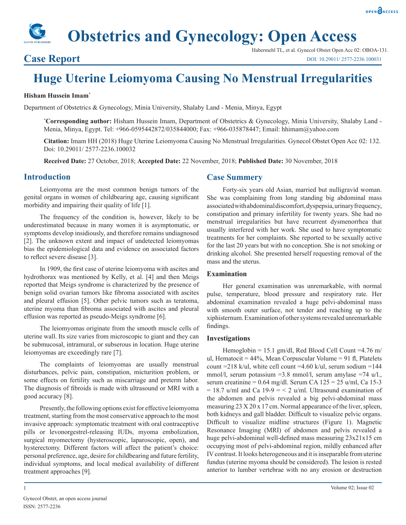# **Obstetrics and Gynecology: Open Access**

### **Case Report**

Habermehl TL, et al. Gynecol Obstet Open Acc 02: OBOA-131. DOI: 10.29011/ 2577-2236.100031

## **Huge Uterine Leiomyoma Causing No Menstrual Irregularities**

#### **Hisham Hussein Imam\***

Department of Obstetrics & Gynecology, Minia University, Shalaby Land - Menia, Minya, Egypt

**\* Corresponding author:** Hisham Hussein Imam, Department of Obstetrics & Gynecology, Minia University, Shalaby Land - Menia, Minya, Egypt. Tel: +966-0595442872/035844000; Fax: +966-035878447; Email: hhimam@yahoo.com

**Citation:** Imam HH (2018) Huge Uterine Leiomyoma Causing No Menstrual Irregularities. Gynecol Obstet Open Acc 02: 132. Doi: 10.29011/ 2577-2236.100032

**Received Date:** 27 October, 2018; **Accepted Date:** 22 November, 2018; **Published Date:** 30 November, 2018

#### **Introduction**

Leiomyoma are the most common benign tumors of the genital organs in women of childbearing age, causing significant morbidity and impairing their quality of life [1].

The frequency of the condition is, however, likely to be underestimated because in many women it is asymptomatic, or symptoms develop insidiously, and therefore remains undiagnosed [2]. The unknown extent and impact of undetected leiomyomas bias the epidemiological data and evidence on associated factors to reflect severe disease [3].

In 1909, the first case of uterine leiomyoma with ascites and hydrothorax was mentioned by Kelly, et al. [4] and then Meigs reported that Meigs syndrome is characterized by the presence of benign solid ovarian tumors like fibroma associated with ascites and pleural effusion [5]. Other pelvic tumors such as teratoma, uterine myoma than fibroma associated with ascites and pleural effusion was reported as pseudo-Meigs syndrome [6].

The leiomyomas originate from the smooth muscle cells of uterine wall. Its size varies from microscopic to giant and they can be submucosal, intramural, or subserous in location. Huge uterine leiomyomas are exceedingly rare [7].

The complaints of leiomyomas are usually menstrual disturbances, pelvic pain, constipation, micturition problem, or some effects on fertility such as miscarriage and preterm labor. The diagnosis of fibroids is made with ultrasound or MRI with a good accuracy [8].

Presently, the following options exist for effective leiomyoma treatment, starting from the most conservative approach to the most invasive approach: symptomatic treatment with oral contraceptive pills or levonorgestrel-releasing IUDs, myoma embolization, surgical myomectomy (hysteroscopic, laparoscopic, open), and hysterectomy. Different factors will affect the patient's choice: personal preference, age, desire for childbearing and future fertility, individual symptoms, and local medical availability of different treatment approaches [9].

#### **Case Summery**

Forty-six years old Asian, married but nulligravid woman. She was complaining from long standing big abdominal mass associated with abdominal discomfort, dyspepsia, urinary frequency, constipation and primary infertility for twenty years. She had no menstrual irregularities but have recurrent dysmenorrhea that usually interfered with her work. She used to have symptomatic treatments for her complaints. She reported to be sexually active for the last 20 years but with no conception. She is not smoking or drinking alcohol. She presented herself requesting removal of the mass and the uterus.

#### **Examination**

Her general examination was unremarkable, with normal pulse, temperature, blood pressure and respiratory rate. Her abdominal examination revealed a huge pelvi-abdominal mass with smooth outer surface, not tender and reaching up to the xiphisternum. Examination of other systems revealed unremarkable findings.

#### **Investigations**

Hemoglobin = 15.1 gm/dl, Red Blood Cell Count = 4.76 m/ ul, Hematocit =  $44\%$ , Mean Corpuscular Volume = 91 fl, Platelets count =218 k/ul, white cell count =4.60 k/ul, serum sodium =144 mmol/l, serum potassium =3.8 mmol/l, serum amylase =74 u/l., serum creatinine =  $0.64$  mg/dl. Serum CA  $125 = 25$  u/ml, Ca 15-3  $= 18.7$  u/ml and Ca 19-9  $=$  < 2 u/ml. Ultrasound examination of the abdomen and pelvis revealed a big pelvi-abdominal mass measuring 23 X 20 x 17 cm. Normal appearance of the liver, spleen, both kidneys and gall bladder. Difficult to visualize pelvic organs. Difficult to visualize midline structures (Figure 1). Magnetic Resonance Imaging (MRI) of abdomen and pelvis revealed a huge pelvi-abdominal well-defined mass measuring 23x21x15 cm occupying most of pelvi-abdominal region, mildly enhanced after IV contrast. It looks heterogeneous and it is inseparable from uterine fundus (uterine myoma should be considered). The lesion is rested anterior to lumber vertebrae with no any erosion or destruction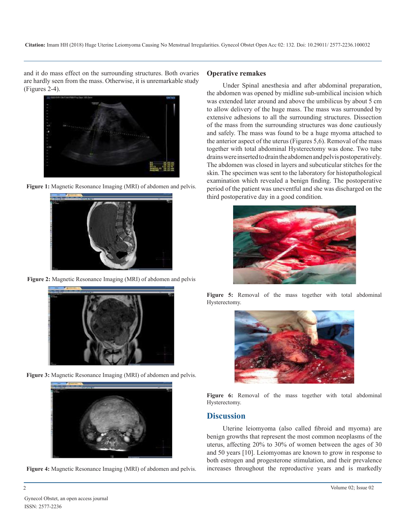and it do mass effect on the surrounding structures. Both ovaries are hardly seen from the mass. Otherwise, it is unremarkable study (Figures 2-4).







**Figure 2:** Magnetic Resonance Imaging (MRI) of abdomen and pelvis



**Figure 3:** Magnetic Resonance Imaging (MRI) of abdomen and pelvis.





#### **Operative remakes**

Under Spinal anesthesia and after abdominal preparation, the abdomen was opened by midline sub-umbilical incision which was extended later around and above the umbilicus by about 5 cm to allow delivery of the huge mass. The mass was surrounded by extensive adhesions to all the surrounding structures. Dissection of the mass from the surrounding structures was done cautiously and safely. The mass was found to be a huge myoma attached to the anterior aspect of the uterus (Figures 5,6). Removal of the mass together with total abdominal Hysterectomy was done. Two tube drains were inserted to drain the abdomen and pelvis postoperatively. The abdomen was closed in layers and subcuticular stitches for the skin. The specimen was sent to the laboratory for histopathological examination which revealed a benign finding. The postoperative period of the patient was uneventful and she was discharged on the third postoperative day in a good condition.



**Figure 5:** Removal of the mass together with total abdominal Hysterectomy.



Figure 6: Removal of the mass together with total abdominal Hysterectomy.

#### **Discussion**

Uterine leiomyoma (also called fibroid and myoma) are benign growths that represent the most common neoplasms of the uterus, affecting 20% to 30% of women between the ages of 30 and 50 years [10]. Leiomyomas are known to grow in response to both estrogen and progesterone stimulation, and their prevalence increases throughout the reproductive years and is markedly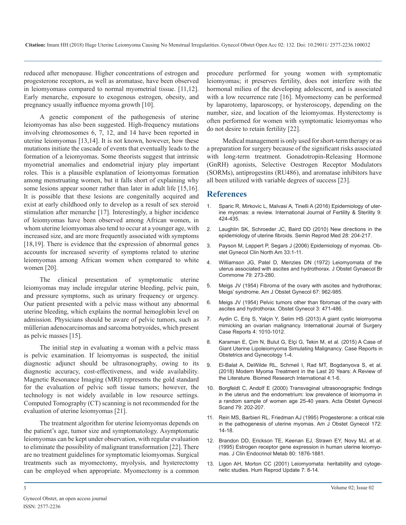reduced after menopause. Higher concentrations of estrogen and progesterone receptors, as well as aromatase, have been observed in leiomyomass compared to normal myometrial tissue. [11,12]. Early menarche, exposure to exogenous estrogen, obesity, and pregnancy usually influence myoma growth [10].

A genetic component of the pathogenesis of uterine leiomyomas has also been suggested. High-frequency mutations involving chromosomes 6, 7, 12, and 14 have been reported in uterine leiomyomas [13,14]. It is not known, however, how these mutations initiate the cascade of events that eventually leads to the formation of a leiomyomas. Some theorists suggest that intrinsic myometrial anomalies and endometrial injury play important roles. This is a plausible explanation of leiomyomas formation among menstruating women, but it falls short of explaining why some lesions appear sooner rather than later in adult life [15,16]. It is possible that these lesions are congenitally acquired and exist at early childhood only to develop as a result of sex steroid [stimulation after menarche \[17\]. Interestingly, a higher incidence](https://www.ncbi.nlm.nih.gov/pmc/articles/PMC4793163/)  of leiomyomas have been observed among African women, in whom uterine leiomyomas also tend to occur at a younger age, with [increased size, and are more frequently associated with symptoms](https://www.ncbi.nlm.nih.gov/pubmed/20414843)  [18,19]. There is evidence that the expression of abnormal genes [accounts for increased severity of symptoms related to uterine](https://www.ncbi.nlm.nih.gov/pubmed/16504803)  leiomyomas among African women when compared to white women [20].

The clinical presentation of symptomatic uterine leiomyomas may include irregular uterine bleeding, pelvic pain, and pressure symptoms, such as urinary frequency or urgency. Our patient presented with a pelvic mass without any abnormal uterine bleeding, which explains the normal hemoglobin level on admission. Physicians should be aware of pelvic tumors, such as müllerian adenocarcinomas and sarcoma botryoides, which present as pelvic masses [15].

[The initial step in evaluating a woman with a pelvic mass](https://www.ncbi.nlm.nih.gov/pubmed/26266066)  is pelvic examination. If leiomyomas is suspected, the initial diagnostic adjunct should be ultrasonography, owing to its [diagnostic accuracy, cost-effectiveness, and wide availability.](https://www.researchgate.net/publication/322692874_Modern_Myoma_Treatment_in_the_Last_20_Years_A_Review_of_the_Literature)  Magnetic Resonance Imaging (MRI) represents the gold standard for the evaluation of pelvic soft tissue tumors; however, the [technology is not widely available in low resource settings.](https://www.ncbi.nlm.nih.gov/pubmed/10716301)  Computed Tomography (CT) scanning is not recommended for the evaluation of uterine leiomyomas [21].

[The treatment algorithm for uterine leiomyomas depends on](https://www.ncbi.nlm.nih.gov/pubmed/7847524)  the patient's age, tumor size and symptomatology. Asymptomatic leiomyomas can be kept under observation, with regular evaluation [to eliminate the possibility of malignant transformation \[22\]. There](https://www.ncbi.nlm.nih.gov/pubmed/7775635)  are no treatment guidelines for symptomatic leiomyomas. Surgical treatments such as myomectomy, myolysis, and hysterectomy [can be employed when appropriate. Myomectomy is a common](https://www.ncbi.nlm.nih.gov/pubmed/11212080) 

procedure performed for young women with symptomatic leiomyomas; it preserves fertility, does not interfere with the hormonal milieu of the developing adolescent, and is associated with a low recurrence rate [16]. Myomectomy can be performed by laparotomy, laparoscopy, or hysteroscopy, depending on the number, size, and location of the leiomyomas. Hysterectomy is often performed for women with symptomatic leiomyomas who do not desire to retain fertility [22].

Medical management is only used for short-term therapy or as a preparation for surgery because of the significant risks associated with long-term treatment. Gonadotropin-Releasing Hormone (GnRH) agonists, Selective Oestrogen Receptor Modulators (SORMs), antiprogestins (RU486), and aromatase inhibitors have all been utilized with variable degrees of success [23].

#### **References**

- 1. [Sparic R, Mirkovic L, Malvasi A, Tinelli A \(2016\) Epidemiology of uter](https://www.ncbi.nlm.nih.gov/pmc/articles/PMC4793163/)ine myomas: a review. International Journal of Fertility & Sterility 9: [424-435.](https://www.ncbi.nlm.nih.gov/pmc/articles/PMC4793163/)
- 2. [Laughlin SK, Schroeder JC, Baird DD \(2010\) New directions in the](https://www.ncbi.nlm.nih.gov/pubmed/20414843)  epidemiology of uterine fibroids. Semin Reprod Med 28: 204-217.
- 3. [Payson M, Leppert P, Segars J \(2006\) Epidemiology of myomas. Ob](https://www.ncbi.nlm.nih.gov/pubmed/16504803)stet Gynecol Clin North Am 33:1-11.
- 4. [Williamson JG, Patel D, Menzies DN \(1972\) Leiomyomata of the](https://www.ncbi.nlm.nih.gov/pubmed/5016326)  [uterus associated with ascites and hydrothorax. J Obstet Gynaecol Br](https://www.ncbi.nlm.nih.gov/pubmed/5016326)  [Commonw 79: 273-280](https://www.ncbi.nlm.nih.gov/pubmed/5016326).
- 5. [Meigs JV \(1954\) Fibroma of the ovary with ascites and hydrothorax;](https://www.ncbi.nlm.nih.gov/pubmed/13148256)  [Meigs' syndrome. Am J Obstet Gynecol 67: 962-985](https://www.ncbi.nlm.nih.gov/pubmed/13148256).
- 6. [Meigs JV \(1954\) Pelvic tumors other than fibromas of the ovary with](https://journals.lww.com/greenjournal/Citation/1954/05000/Pelvic_Tumors_other_than_Fibromas_of_the_Ovary.2.aspx)  [ascites and hydrothorax. Obstet Gynecol 3: 471-486](https://journals.lww.com/greenjournal/Citation/1954/05000/Pelvic_Tumors_other_than_Fibromas_of_the_Ovary.2.aspx).
- 7. [Aydin C, Eriş S, Yalçin Y, Selim HS \(2013\) A giant cystic leiomyoma](https://www.ncbi.nlm.nih.gov/pmc/articles/PMC3825977/)  [mimicking an ovarian malignancy. International Journal of Surgery](https://www.ncbi.nlm.nih.gov/pmc/articles/PMC3825977/)  [Case Reports 4: 1010-1012.](https://www.ncbi.nlm.nih.gov/pmc/articles/PMC3825977/)
- 8. [Karaman E, Çim N, Bulut G, Elçi G, Tekin M, et al. \(2015\) A Case of](https://www.ncbi.nlm.nih.gov/pubmed/26266066) Giant Uterine Lipoleiomyoma Simulating Malignancy. Case Reports in [Obstetrics and Gynecology 1-4](https://www.ncbi.nlm.nih.gov/pubmed/26266066).
- 9. [El-Balat A, DeWilde RL, Schmeil I, Rad MT, Bogdanyova S, et al.](https://www.researchgate.net/publication/322692874_Modern_Myoma_Treatment_in_the_Last_20_Years_A_Review_of_the_Literature) (2018) Modern Myoma Treatment in the Last 20 Years: A Review of [the Literature. Biomed Research International 4:1-6.](https://www.researchgate.net/publication/322692874_Modern_Myoma_Treatment_in_the_Last_20_Years_A_Review_of_the_Literature)
- 10. [Borgfeldt C, Andolf E \(2000\) Transvaginal ultrasonographic findings](https://www.ncbi.nlm.nih.gov/pubmed/10716301)  in the uterus and the endometrium: low prevalence of leiomyoma in [a random sample of women age 25-40 years. Acta Obstet Gynecol](https://www.ncbi.nlm.nih.gov/pubmed/10716301)  [Scand 79: 202-207](https://www.ncbi.nlm.nih.gov/pubmed/10716301).
- 11. [Rein MS, Barbieri RL, Friedman AJ \(1995\) Progesterone: a critical role](https://www.ncbi.nlm.nih.gov/pubmed/7847524)  in the pathogenesis of uterine myomas. Am J Obstet Gynecol 172: [14-18](https://www.ncbi.nlm.nih.gov/pubmed/7847524).
- 12. [Brandon DD, Erickson TE, Keenan EJ, Strawn EY, Novy MJ, et al.](https://www.ncbi.nlm.nih.gov/pubmed/7775635) (1995) Estrogen receptor gene expression in human uterine leiomyo[mas. J Clin Endocrinol Metab 80: 1876-1881](https://www.ncbi.nlm.nih.gov/pubmed/7775635).
- 13. [Ligon AH, Morton CC \(2001\) Leiomyomata: heritability and cytoge](https://www.ncbi.nlm.nih.gov/pubmed/11212080)netic studies. Hum Reprod Update 7: 8-14.